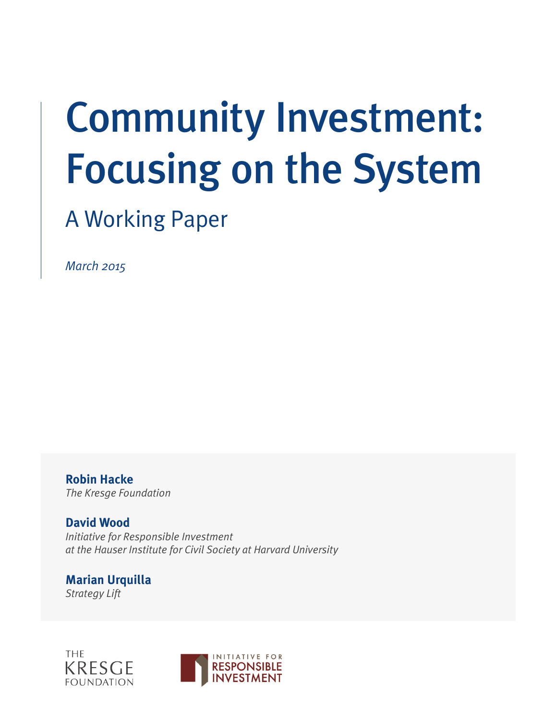# Community Investment: Focusing on the System

# A Working Paper

*March 2015*

**Robin Hacke** *The Kresge Foundation*

**David Wood** *Initiative for Responsible Investment at the Hauser Institute for Civil Society at Harvard University*

**Marian Urquilla** *Strategy Lift*



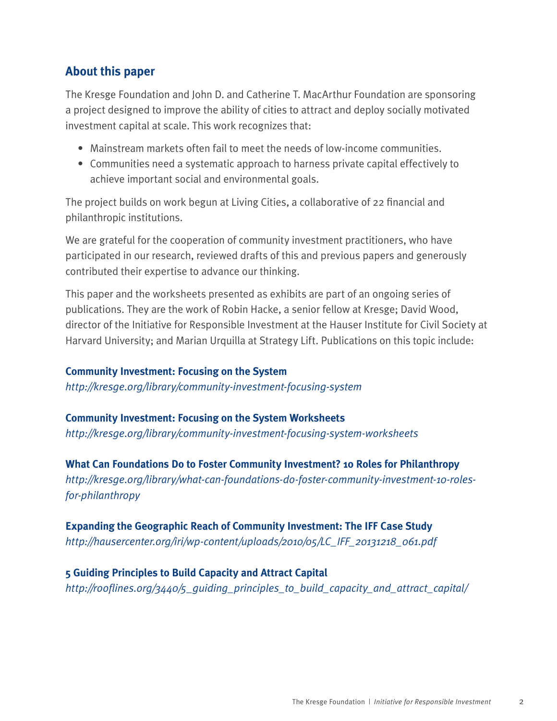# **About this paper**

The Kresge Foundation and John D. and Catherine T. MacArthur Foundation are sponsoring a project designed to improve the ability of cities to attract and deploy socially motivated investment capital at scale. This work recognizes that:

- Mainstream markets often fail to meet the needs of low-income communities.
- Communities need a systematic approach to harness private capital effectively to achieve important social and environmental goals.

The project builds on work begun at Living Cities, a collaborative of 22 financial and philanthropic institutions.

We are grateful for the cooperation of community investment practitioners, who have participated in our research, reviewed drafts of this and previous papers and generously contributed their expertise to advance our thinking.

This paper and the worksheets presented as exhibits are part of an ongoing series of publications. They are the work of Robin Hacke, a senior fellow at Kresge; David Wood, director of the Initiative for Responsible Investment at the Hauser Institute for Civil Society at Harvard University; and Marian Urquilla at Strategy Lift. Publications on this topic include:

# **Community Investment: Focusing on the System**

*http://kresge.org/library/community-investment-focusing-system*

## **Community Investment: Focusing on the System Worksheets**

*http://kresge.org/library/community-investment-focusing-system-worksheets*

**What Can Foundations Do to Foster Community Investment? 10 Roles for Philanthropy** *http://kresge.org/library/what-can-foundations-do-foster-community-investment-10-rolesfor-philanthropy*

# **Expanding the Geographic Reach of Community Investment: The IFF Case Study**

*http://hausercenter.org/iri/wp-content/uploads/2010/05/LC\_IFF\_20131218\_061.pdf*

# **5 Guiding Principles to Build Capacity and Attract Capital**

*http://rooflines.org/3440/5\_guiding\_principles\_to\_build\_capacity\_and\_attract\_capital/*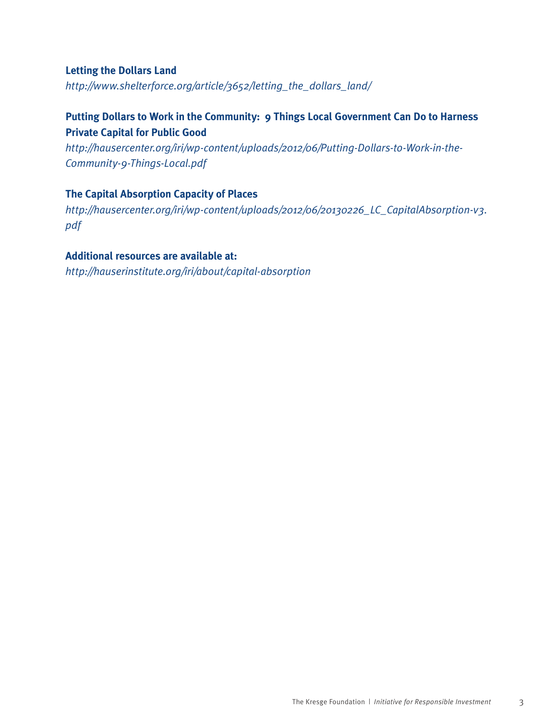#### **Letting the Dollars Land**

*http://www.shelterforce.org/article/3652/letting\_the\_dollars\_land/*

# **Putting Dollars to Work in the Community: 9 Things Local Government Can Do to Harness Private Capital for Public Good**

*http://hausercenter.org/iri/wp-content/uploads/2012/06/Putting-Dollars-to-Work-in-the-Community-9-Things-Local.pdf*

## **The Capital Absorption Capacity of Places**

*http://hausercenter.org/iri/wp-content/uploads/2012/06/20130226\_LC\_CapitalAbsorption-v3. pdf*

## **Additional resources are available at:**

*http://hauserinstitute.org/iri/about/capital-absorption*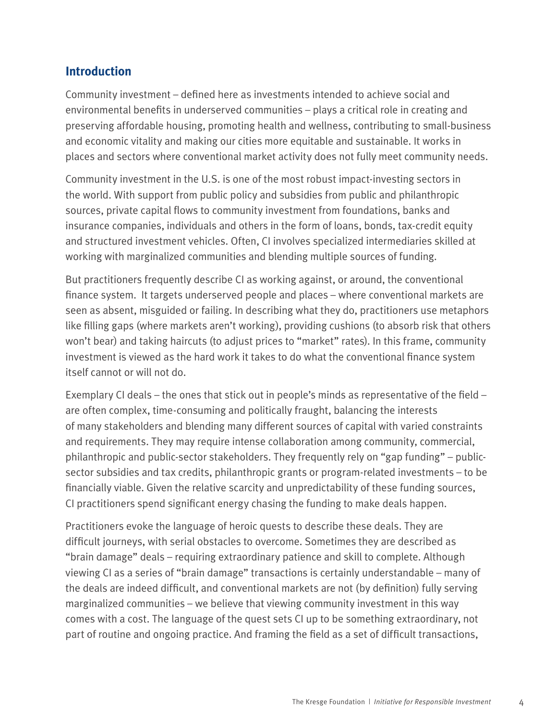# **Introduction**

Community investment – defined here as investments intended to achieve social and environmental benefits in underserved communities – plays a critical role in creating and preserving affordable housing, promoting health and wellness, contributing to small-business and economic vitality and making our cities more equitable and sustainable. It works in places and sectors where conventional market activity does not fully meet community needs.

Community investment in the U.S. is one of the most robust impact-investing sectors in the world. With support from public policy and subsidies from public and philanthropic sources, private capital flows to community investment from foundations, banks and insurance companies, individuals and others in the form of loans, bonds, tax-credit equity and structured investment vehicles. Often, CI involves specialized intermediaries skilled at working with marginalized communities and blending multiple sources of funding.

But practitioners frequently describe CI as working against, or around, the conventional finance system. It targets underserved people and places – where conventional markets are seen as absent, misguided or failing. In describing what they do, practitioners use metaphors like filling gaps (where markets aren't working), providing cushions (to absorb risk that others won't bear) and taking haircuts (to adjust prices to "market" rates). In this frame, community investment is viewed as the hard work it takes to do what the conventional finance system itself cannot or will not do.

Exemplary CI deals – the ones that stick out in people's minds as representative of the field – are often complex, time-consuming and politically fraught, balancing the interests of many stakeholders and blending many different sources of capital with varied constraints and requirements. They may require intense collaboration among community, commercial, philanthropic and public-sector stakeholders. They frequently rely on "gap funding" – publicsector subsidies and tax credits, philanthropic grants or program-related investments – to be financially viable. Given the relative scarcity and unpredictability of these funding sources, CI practitioners spend significant energy chasing the funding to make deals happen.

Practitioners evoke the language of heroic quests to describe these deals. They are difficult journeys, with serial obstacles to overcome. Sometimes they are described as "brain damage" deals – requiring extraordinary patience and skill to complete. Although viewing CI as a series of "brain damage" transactions is certainly understandable – many of the deals are indeed difficult, and conventional markets are not (by definition) fully serving marginalized communities – we believe that viewing community investment in this way comes with a cost. The language of the quest sets CI up to be something extraordinary, not part of routine and ongoing practice. And framing the field as a set of difficult transactions,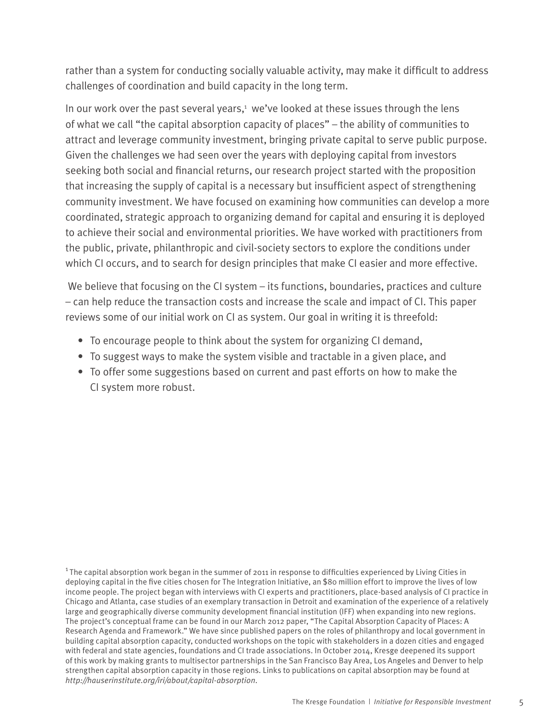rather than a system for conducting socially valuable activity, may make it difficult to address challenges of coordination and build capacity in the long term.

In our work over the past several years,<sup>1</sup> we've looked at these issues through the lens of what we call "the capital absorption capacity of places" – the ability of communities to attract and leverage community investment, bringing private capital to serve public purpose. Given the challenges we had seen over the years with deploying capital from investors seeking both social and financial returns, our research project started with the proposition that increasing the supply of capital is a necessary but insufficient aspect of strengthening community investment. We have focused on examining how communities can develop a more coordinated, strategic approach to organizing demand for capital and ensuring it is deployed to achieve their social and environmental priorities. We have worked with practitioners from the public, private, philanthropic and civil-society sectors to explore the conditions under which CI occurs, and to search for design principles that make CI easier and more effective.

We believe that focusing on the CI system – its functions, boundaries, practices and culture – can help reduce the transaction costs and increase the scale and impact of CI. This paper reviews some of our initial work on CI as system. Our goal in writing it is threefold:

- To encourage people to think about the system for organizing CI demand,
- To suggest ways to make the system visible and tractable in a given place, and
- To offer some suggestions based on current and past efforts on how to make the CI system more robust.

 $1$ The capital absorption work began in the summer of 2011 in response to difficulties experienced by Living Cities in deploying capital in the five cities chosen for The Integration Initiative, an \$80 million effort to improve the lives of low income people. The project began with interviews with CI experts and practitioners, place-based analysis of CI practice in Chicago and Atlanta, case studies of an exemplary transaction in Detroit and examination of the experience of a relatively large and geographically diverse community development financial institution (IFF) when expanding into new regions. The project's conceptual frame can be found in our March 2012 paper, "The Capital Absorption Capacity of Places: A Research Agenda and Framework." We have since published papers on the roles of philanthropy and local government in building capital absorption capacity, conducted workshops on the topic with stakeholders in a dozen cities and engaged with federal and state agencies, foundations and CI trade associations. In October 2014, Kresge deepened its support of this work by making grants to multisector partnerships in the San Francisco Bay Area, Los Angeles and Denver to help strengthen capital absorption capacity in those regions. Links to publications on capital absorption may be found at *http://hauserinstitute.org/iri/about/capital-absorption*.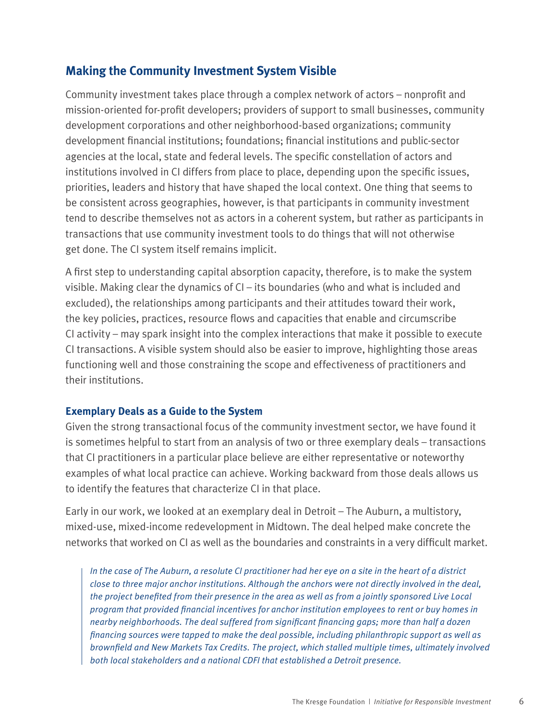# **Making the Community Investment System Visible**

Community investment takes place through a complex network of actors – nonprofit and mission-oriented for-profit developers; providers of support to small businesses, community development corporations and other neighborhood-based organizations; community development financial institutions; foundations; financial institutions and public-sector agencies at the local, state and federal levels. The specific constellation of actors and institutions involved in CI differs from place to place, depending upon the specific issues, priorities, leaders and history that have shaped the local context. One thing that seems to be consistent across geographies, however, is that participants in community investment tend to describe themselves not as actors in a coherent system, but rather as participants in transactions that use community investment tools to do things that will not otherwise get done. The CI system itself remains implicit.

A first step to understanding capital absorption capacity, therefore, is to make the system visible. Making clear the dynamics of CI – its boundaries (who and what is included and excluded), the relationships among participants and their attitudes toward their work, the key policies, practices, resource flows and capacities that enable and circumscribe CI activity – may spark insight into the complex interactions that make it possible to execute CI transactions. A visible system should also be easier to improve, highlighting those areas functioning well and those constraining the scope and effectiveness of practitioners and their institutions.

## **Exemplary Deals as a Guide to the System**

Given the strong transactional focus of the community investment sector, we have found it is sometimes helpful to start from an analysis of two or three exemplary deals – transactions that CI practitioners in a particular place believe are either representative or noteworthy examples of what local practice can achieve. Working backward from those deals allows us to identify the features that characterize CI in that place.

Early in our work, we looked at an exemplary deal in Detroit – The Auburn, a multistory, mixed-use, mixed-income redevelopment in Midtown. The deal helped make concrete the networks that worked on CI as well as the boundaries and constraints in a very difficult market.

*In the case of The Auburn, a resolute CI practitioner had her eye on a site in the heart of a district close to three major anchor institutions. Although the anchors were not directly involved in the deal, the project benefited from their presence in the area as well as from a jointly sponsored Live Local program that provided financial incentives for anchor institution employees to rent or buy homes in nearby neighborhoods. The deal suffered from significant financing gaps; more than half a dozen financing sources were tapped to make the deal possible, including philanthropic support as well as brownfield and New Markets Tax Credits. The project, which stalled multiple times, ultimately involved both local stakeholders and a national CDFI that established a Detroit presence.*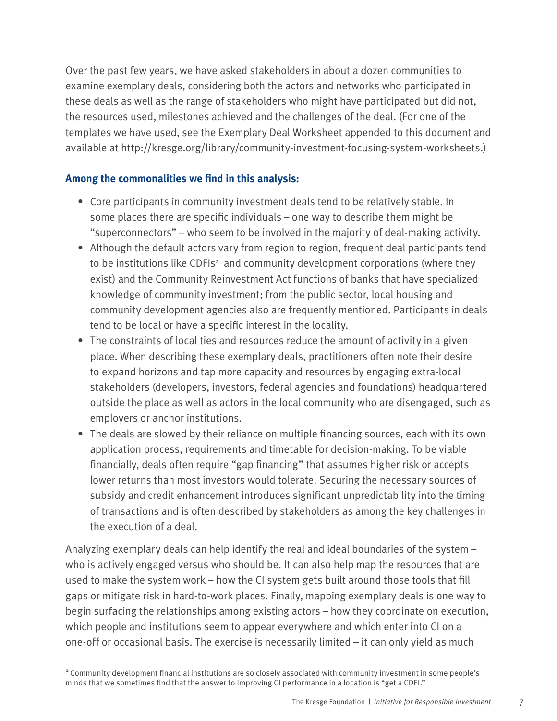Over the past few years, we have asked stakeholders in about a dozen communities to examine exemplary deals, considering both the actors and networks who participated in these deals as well as the range of stakeholders who might have participated but did not, the resources used, milestones achieved and the challenges of the deal. (For one of the templates we have used, see the Exemplary Deal Worksheet appended to this document and available at http://kresge.org/library/community-investment-focusing-system-worksheets.)

## **Among the commonalities we find in this analysis:**

- Core participants in community investment deals tend to be relatively stable. In some places there are specific individuals – one way to describe them might be "superconnectors" – who seem to be involved in the majority of deal-making activity.
- Although the default actors vary from region to region, frequent deal participants tend to be institutions like CDFIs<sup>2</sup> and community development corporations (where they exist) and the Community Reinvestment Act functions of banks that have specialized knowledge of community investment; from the public sector, local housing and community development agencies also are frequently mentioned. Participants in deals tend to be local or have a specific interest in the locality.
- The constraints of local ties and resources reduce the amount of activity in a given place. When describing these exemplary deals, practitioners often note their desire to expand horizons and tap more capacity and resources by engaging extra-local stakeholders (developers, investors, federal agencies and foundations) headquartered outside the place as well as actors in the local community who are disengaged, such as employers or anchor institutions.
- The deals are slowed by their reliance on multiple financing sources, each with its own application process, requirements and timetable for decision-making. To be viable financially, deals often require "gap financing" that assumes higher risk or accepts lower returns than most investors would tolerate. Securing the necessary sources of subsidy and credit enhancement introduces significant unpredictability into the timing of transactions and is often described by stakeholders as among the key challenges in the execution of a deal.

Analyzing exemplary deals can help identify the real and ideal boundaries of the system – who is actively engaged versus who should be. It can also help map the resources that are used to make the system work – how the CI system gets built around those tools that fill gaps or mitigate risk in hard-to-work places. Finally, mapping exemplary deals is one way to begin surfacing the relationships among existing actors – how they coordinate on execution, which people and institutions seem to appear everywhere and which enter into CI on a one-off or occasional basis. The exercise is necessarily limited – it can only yield as much

<sup>2</sup> Community development financial institutions are so closely associated with community investment in some people's minds that we sometimes find that the answer to improving CI performance in a location is "get a CDFI."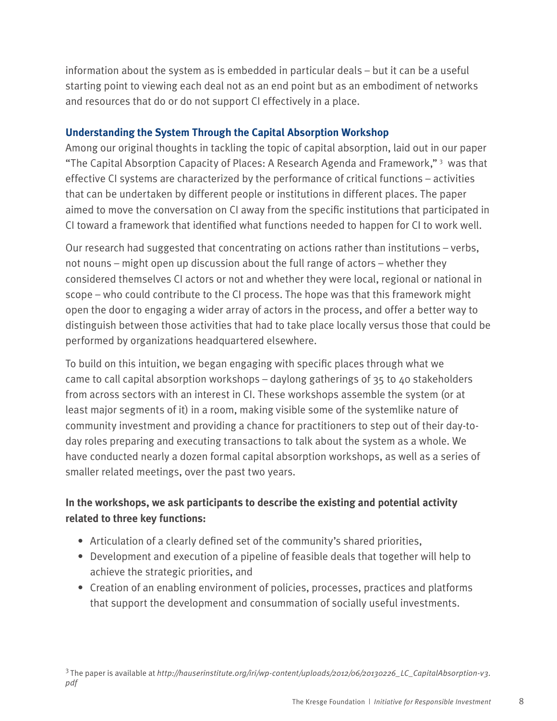information about the system as is embedded in particular deals – but it can be a useful starting point to viewing each deal not as an end point but as an embodiment of networks and resources that do or do not support CI effectively in a place.

# **Understanding the System Through the Capital Absorption Workshop**

Among our original thoughts in tackling the topic of capital absorption, laid out in our paper "The Capital Absorption Capacity of Places: A Research Agenda and Framework,"<sup>3</sup> was that effective CI systems are characterized by the performance of critical functions – activities that can be undertaken by different people or institutions in different places. The paper aimed to move the conversation on CI away from the specific institutions that participated in CI toward a framework that identified what functions needed to happen for CI to work well.

Our research had suggested that concentrating on actions rather than institutions – verbs, not nouns – might open up discussion about the full range of actors – whether they considered themselves CI actors or not and whether they were local, regional or national in scope – who could contribute to the CI process. The hope was that this framework might open the door to engaging a wider array of actors in the process, and offer a better way to distinguish between those activities that had to take place locally versus those that could be performed by organizations headquartered elsewhere.

To build on this intuition, we began engaging with specific places through what we came to call capital absorption workshops – daylong gatherings of 35 to 40 stakeholders from across sectors with an interest in CI. These workshops assemble the system (or at least major segments of it) in a room, making visible some of the systemlike nature of community investment and providing a chance for practitioners to step out of their day-today roles preparing and executing transactions to talk about the system as a whole. We have conducted nearly a dozen formal capital absorption workshops, as well as a series of smaller related meetings, over the past two years.

# **In the workshops, we ask participants to describe the existing and potential activity related to three key functions:**

- Articulation of a clearly defined set of the community's shared priorities,
- Development and execution of a pipeline of feasible deals that together will help to achieve the strategic priorities, and
- Creation of an enabling environment of policies, processes, practices and platforms that support the development and consummation of socially useful investments.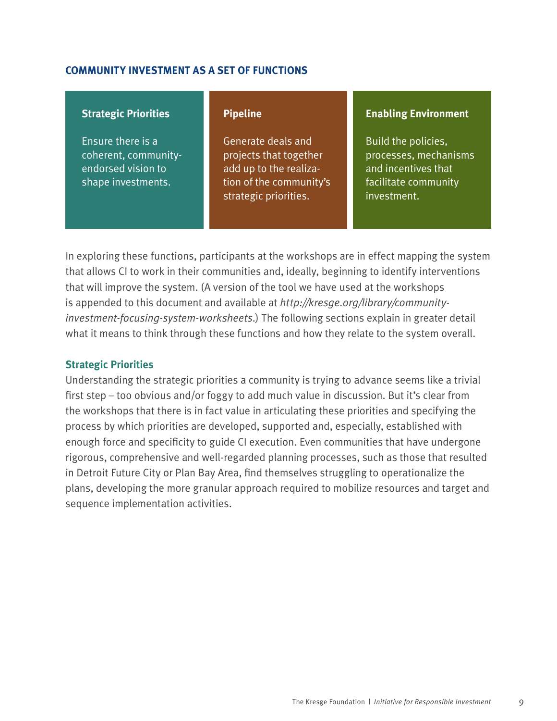#### **COMMUNITY INVESTMENT AS A SET OF FUNCTIONS**

#### **Strategic Priorities**

Ensure there is a coherent, communityendorsed vision to shape investments.

#### **Pipeline**

Generate deals and projects that together add up to the realization of the community's strategic priorities.

#### **Enabling Environment**

Build the policies, processes, mechanisms and incentives that facilitate community investment.

In exploring these functions, participants at the workshops are in effect mapping the system that allows CI to work in their communities and, ideally, beginning to identify interventions that will improve the system. (A version of the tool we have used at the workshops is appended to this document and available at *http://kresge.org/library/communityinvestment-focusing-system-worksheets*.) The following sections explain in greater detail what it means to think through these functions and how they relate to the system overall.

#### **Strategic Priorities**

Understanding the strategic priorities a community is trying to advance seems like a trivial first step – too obvious and/or foggy to add much value in discussion. But it's clear from the workshops that there is in fact value in articulating these priorities and specifying the process by which priorities are developed, supported and, especially, established with enough force and specificity to guide CI execution. Even communities that have undergone rigorous, comprehensive and well-regarded planning processes, such as those that resulted in Detroit Future City or Plan Bay Area, find themselves struggling to operationalize the plans, developing the more granular approach required to mobilize resources and target and sequence implementation activities.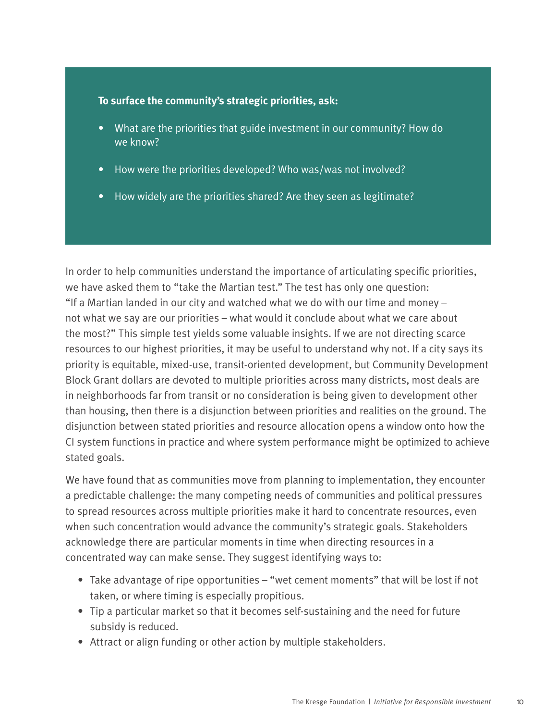#### **To surface the community's strategic priorities, ask:**

- What are the priorities that guide investment in our community? How do we know?
- How were the priorities developed? Who was/was not involved?
- How widely are the priorities shared? Are they seen as legitimate?

In order to help communities understand the importance of articulating specific priorities, we have asked them to "take the Martian test." The test has only one question: "If a Martian landed in our city and watched what we do with our time and money – not what we say are our priorities – what would it conclude about what we care about the most?" This simple test yields some valuable insights. If we are not directing scarce resources to our highest priorities, it may be useful to understand why not. If a city says its priority is equitable, mixed-use, transit-oriented development, but Community Development Block Grant dollars are devoted to multiple priorities across many districts, most deals are in neighborhoods far from transit or no consideration is being given to development other than housing, then there is a disjunction between priorities and realities on the ground. The disjunction between stated priorities and resource allocation opens a window onto how the CI system functions in practice and where system performance might be optimized to achieve stated goals.

We have found that as communities move from planning to implementation, they encounter a predictable challenge: the many competing needs of communities and political pressures to spread resources across multiple priorities make it hard to concentrate resources, even when such concentration would advance the community's strategic goals. Stakeholders acknowledge there are particular moments in time when directing resources in a concentrated way can make sense. They suggest identifying ways to:

- Take advantage of ripe opportunities "wet cement moments" that will be lost if not taken, or where timing is especially propitious.
- Tip a particular market so that it becomes self-sustaining and the need for future subsidy is reduced.
- Attract or align funding or other action by multiple stakeholders.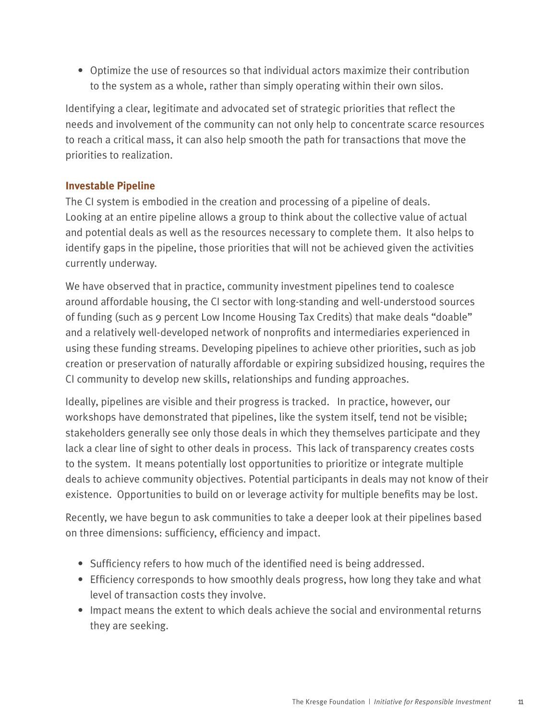• Optimize the use of resources so that individual actors maximize their contribution to the system as a whole, rather than simply operating within their own silos.

Identifying a clear, legitimate and advocated set of strategic priorities that reflect the needs and involvement of the community can not only help to concentrate scarce resources to reach a critical mass, it can also help smooth the path for transactions that move the priorities to realization.

## **Investable Pipeline**

The CI system is embodied in the creation and processing of a pipeline of deals. Looking at an entire pipeline allows a group to think about the collective value of actual and potential deals as well as the resources necessary to complete them. It also helps to identify gaps in the pipeline, those priorities that will not be achieved given the activities currently underway.

We have observed that in practice, community investment pipelines tend to coalesce around affordable housing, the CI sector with long-standing and well-understood sources of funding (such as 9 percent Low Income Housing Tax Credits) that make deals "doable" and a relatively well-developed network of nonprofits and intermediaries experienced in using these funding streams. Developing pipelines to achieve other priorities, such as job creation or preservation of naturally affordable or expiring subsidized housing, requires the CI community to develop new skills, relationships and funding approaches.

Ideally, pipelines are visible and their progress is tracked. In practice, however, our workshops have demonstrated that pipelines, like the system itself, tend not be visible; stakeholders generally see only those deals in which they themselves participate and they lack a clear line of sight to other deals in process. This lack of transparency creates costs to the system. It means potentially lost opportunities to prioritize or integrate multiple deals to achieve community objectives. Potential participants in deals may not know of their existence. Opportunities to build on or leverage activity for multiple benefits may be lost.

Recently, we have begun to ask communities to take a deeper look at their pipelines based on three dimensions: sufficiency, efficiency and impact.

- Sufficiency refers to how much of the identified need is being addressed.
- Efficiency corresponds to how smoothly deals progress, how long they take and what level of transaction costs they involve.
- Impact means the extent to which deals achieve the social and environmental returns they are seeking.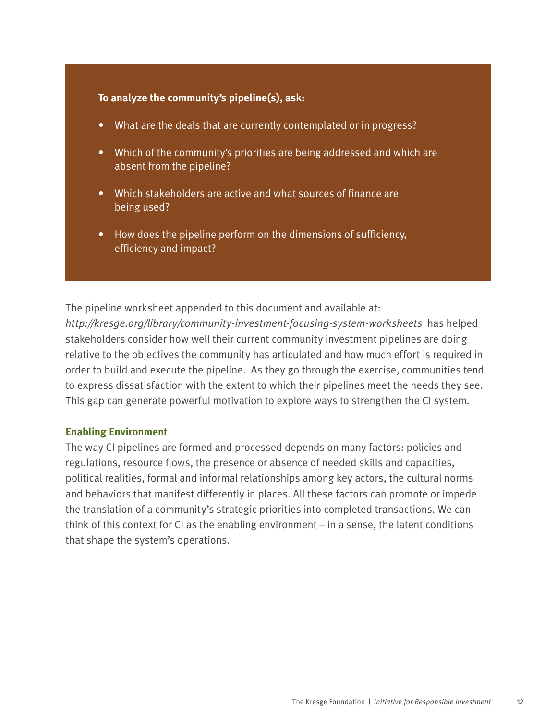#### **To analyze the community's pipeline(s), ask:**

- What are the deals that are currently contemplated or in progress?
- Which of the community's priorities are being addressed and which are absent from the pipeline?
- Which stakeholders are active and what sources of finance are being used?
- How does the pipeline perform on the dimensions of sufficiency, efficiency and impact?

The pipeline worksheet appended to this document and available at: *http://kresge.org/library/community-investment-focusing-system-worksheets* has helped stakeholders consider how well their current community investment pipelines are doing relative to the objectives the community has articulated and how much effort is required in order to build and execute the pipeline. As they go through the exercise, communities tend to express dissatisfaction with the extent to which their pipelines meet the needs they see. This gap can generate powerful motivation to explore ways to strengthen the CI system.

#### **Enabling Environment**

The way CI pipelines are formed and processed depends on many factors: policies and regulations, resource flows, the presence or absence of needed skills and capacities, political realities, formal and informal relationships among key actors, the cultural norms and behaviors that manifest differently in places. All these factors can promote or impede the translation of a community's strategic priorities into completed transactions. We can think of this context for CI as the enabling environment – in a sense, the latent conditions that shape the system's operations.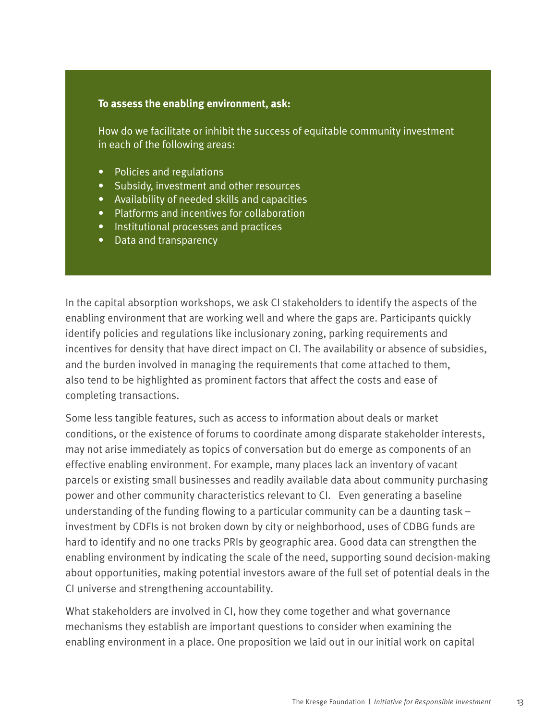#### **To assess the enabling environment, ask:**

How do we facilitate or inhibit the success of equitable community investment in each of the following areas:

- Policies and regulations
- Subsidy, investment and other resources
- Availability of needed skills and capacities
- Platforms and incentives for collaboration
- Institutional processes and practices
- Data and transparency

In the capital absorption workshops, we ask CI stakeholders to identify the aspects of the enabling environment that are working well and where the gaps are. Participants quickly identify policies and regulations like inclusionary zoning, parking requirements and incentives for density that have direct impact on CI. The availability or absence of subsidies, and the burden involved in managing the requirements that come attached to them, also tend to be highlighted as prominent factors that affect the costs and ease of completing transactions.

Some less tangible features, such as access to information about deals or market conditions, or the existence of forums to coordinate among disparate stakeholder interests, may not arise immediately as topics of conversation but do emerge as components of an effective enabling environment. For example, many places lack an inventory of vacant parcels or existing small businesses and readily available data about community purchasing power and other community characteristics relevant to CI. Even generating a baseline understanding of the funding flowing to a particular community can be a daunting task – investment by CDFIs is not broken down by city or neighborhood, uses of CDBG funds are hard to identify and no one tracks PRIs by geographic area. Good data can strengthen the enabling environment by indicating the scale of the need, supporting sound decision-making about opportunities, making potential investors aware of the full set of potential deals in the CI universe and strengthening accountability.

What stakeholders are involved in CI, how they come together and what governance mechanisms they establish are important questions to consider when examining the enabling environment in a place. One proposition we laid out in our initial work on capital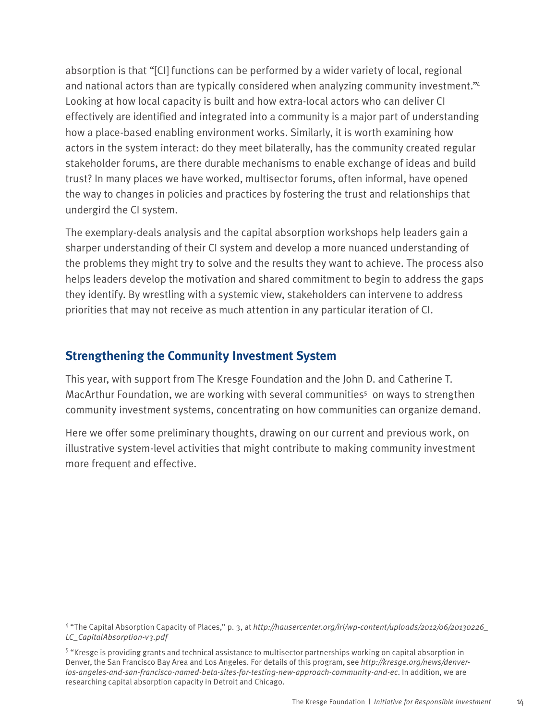absorption is that "[CI] functions can be performed by a wider variety of local, regional and national actors than are typically considered when analyzing community investment."<sup>4</sup> Looking at how local capacity is built and how extra-local actors who can deliver CI effectively are identified and integrated into a community is a major part of understanding how a place-based enabling environment works. Similarly, it is worth examining how actors in the system interact: do they meet bilaterally, has the community created regular stakeholder forums, are there durable mechanisms to enable exchange of ideas and build trust? In many places we have worked, multisector forums, often informal, have opened the way to changes in policies and practices by fostering the trust and relationships that undergird the CI system.

The exemplary-deals analysis and the capital absorption workshops help leaders gain a sharper understanding of their CI system and develop a more nuanced understanding of the problems they might try to solve and the results they want to achieve. The process also helps leaders develop the motivation and shared commitment to begin to address the gaps they identify. By wrestling with a systemic view, stakeholders can intervene to address priorities that may not receive as much attention in any particular iteration of CI.

# **Strengthening the Community Investment System**

This year, with support from The Kresge Foundation and the John D. and Catherine T. MacArthur Foundation, we are working with several communities<sup>5</sup> on ways to strengthen community investment systems, concentrating on how communities can organize demand.

Here we offer some preliminary thoughts, drawing on our current and previous work, on illustrative system-level activities that might contribute to making community investment more frequent and effective.

<sup>4 &</sup>quot;The Capital Absorption Capacity of Places," p. 3, at *http://hausercenter.org/iri/wp-content/uploads/2012/06/20130226\_ LC\_CapitalAbsorption-v3.pdf*

<sup>5 &</sup>quot;Kresge is providing grants and technical assistance to multisector partnerships working on capital absorption in Denver, the San Francisco Bay Area and Los Angeles. For details of this program, see *http://kresge.org/news/denverlos-angeles-and-san-francisco-named-beta-sites-for-testing-new-approach-community-and-ec*. In addition, we are researching capital absorption capacity in Detroit and Chicago.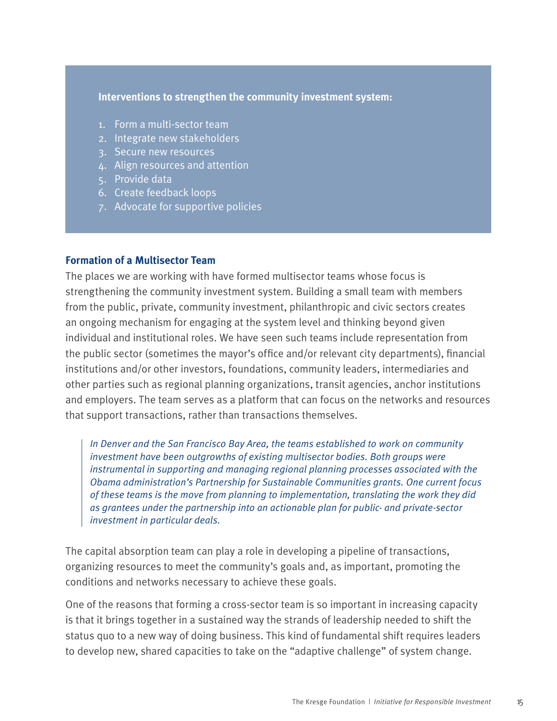#### **Interventions to strengthen the community investment system:**

- 1. Form a multi-sector team
- 2. Integrate new stakeholders
- 3. Secure new resources
- 4. Align resources and attention
- 5. Provide data
- 6. Create feedback loops
- 7. Advocate for supportive policies

#### **Formation of a Multisector Team**

The places we are working with have formed multisector teams whose focus is strengthening the community investment system. Building a small team with members from the public, private, community investment, philanthropic and civic sectors creates an ongoing mechanism for engaging at the system level and thinking beyond given individual and institutional roles. We have seen such teams include representation from the public sector (sometimes the mayor's office and/or relevant city departments), financial institutions and/or other investors, foundations, community leaders, intermediaries and other parties such as regional planning organizations, transit agencies, anchor institutions and employers. The team serves as a platform that can focus on the networks and resources that support transactions, rather than transactions themselves.

*In Denver and the San Francisco Bay Area, the teams established to work on community investment have been outgrowths of existing multisector bodies. Both groups were instrumental in supporting and managing regional planning processes associated with the Obama administration's Partnership for Sustainable Communities grants. One current focus of these teams is the move from planning to implementation, translating the work they did as grantees under the partnership into an actionable plan for public- and private-sector investment in particular deals.*

The capital absorption team can play a role in developing a pipeline of transactions, organizing resources to meet the community's goals and, as important, promoting the conditions and networks necessary to achieve these goals.

One of the reasons that forming a cross-sector team is so important in increasing capacity is that it brings together in a sustained way the strands of leadership needed to shift the status quo to a new way of doing business. This kind of fundamental shift requires leaders to develop new, shared capacities to take on the "adaptive challenge" of system change.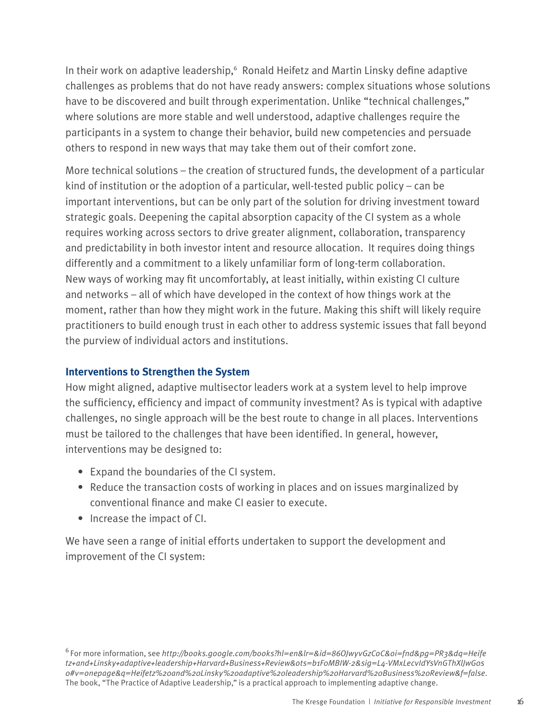In their work on adaptive leadership, <sup>6</sup> Ronald Heifetz and Martin Linsky define adaptive challenges as problems that do not have ready answers: complex situations whose solutions have to be discovered and built through experimentation. Unlike "technical challenges," where solutions are more stable and well understood, adaptive challenges require the participants in a system to change their behavior, build new competencies and persuade others to respond in new ways that may take them out of their comfort zone.

More technical solutions – the creation of structured funds, the development of a particular kind of institution or the adoption of a particular, well-tested public policy – can be important interventions, but can be only part of the solution for driving investment toward strategic goals. Deepening the capital absorption capacity of the CI system as a whole requires working across sectors to drive greater alignment, collaboration, transparency and predictability in both investor intent and resource allocation. It requires doing things differently and a commitment to a likely unfamiliar form of long-term collaboration. New ways of working may fit uncomfortably, at least initially, within existing CI culture and networks – all of which have developed in the context of how things work at the moment, rather than how they might work in the future. Making this shift will likely require practitioners to build enough trust in each other to address systemic issues that fall beyond the purview of individual actors and institutions.

## **Interventions to Strengthen the System**

How might aligned, adaptive multisector leaders work at a system level to help improve the sufficiency, efficiency and impact of community investment? As is typical with adaptive challenges, no single approach will be the best route to change in all places. Interventions must be tailored to the challenges that have been identified. In general, however, interventions may be designed to:

- Expand the boundaries of the CI system.
- Reduce the transaction costs of working in places and on issues marginalized by conventional finance and make CI easier to execute.
- Increase the impact of CI.

We have seen a range of initial efforts undertaken to support the development and improvement of the CI system:

<sup>6</sup> For more information, see *http://books.google.com/books?hl=en&lr=&id=86OJwyvGzCoC&oi=fnd&pg=PR3&dq=Heife tz+and+Linsky+adaptive+leadership+Harvard+Business+Review&ots=b1F0MBIW-2&sig=L4-VMxLecvIdYsVnGThXlJwG0s 0#v=onepage&q=Heifetz%20and%20Linsky%20adaptive%20leadership%20Harvard%20Business%20Review&f=false*. The book, "The Practice of Adaptive Leadership," is a practical approach to implementing adaptive change.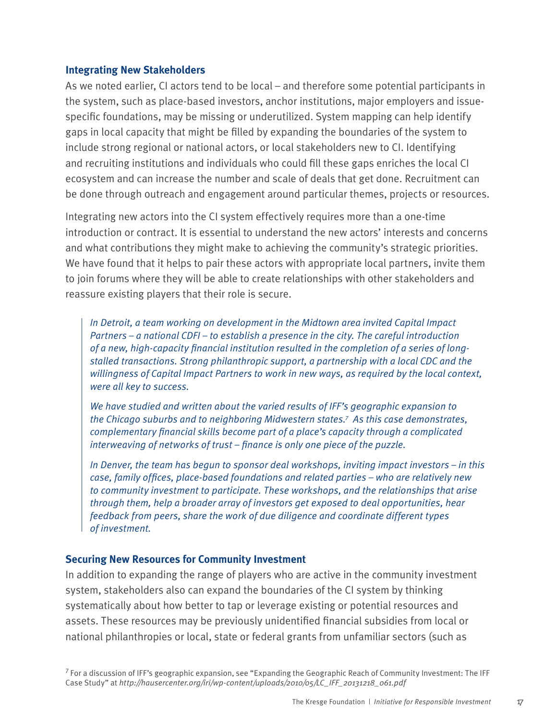#### **Integrating New Stakeholders**

As we noted earlier, CI actors tend to be local – and therefore some potential participants in the system, such as place-based investors, anchor institutions, major employers and issuespecific foundations, may be missing or underutilized. System mapping can help identify gaps in local capacity that might be filled by expanding the boundaries of the system to include strong regional or national actors, or local stakeholders new to CI. Identifying and recruiting institutions and individuals who could fill these gaps enriches the local CI ecosystem and can increase the number and scale of deals that get done. Recruitment can be done through outreach and engagement around particular themes, projects or resources.

Integrating new actors into the CI system effectively requires more than a one-time introduction or contract. It is essential to understand the new actors' interests and concerns and what contributions they might make to achieving the community's strategic priorities. We have found that it helps to pair these actors with appropriate local partners, invite them to join forums where they will be able to create relationships with other stakeholders and reassure existing players that their role is secure.

*In Detroit, a team working on development in the Midtown area invited Capital Impact Partners – a national CDFI – to establish a presence in the city. The careful introduction of a new, high-capacity financial institution resulted in the completion of a series of longstalled transactions. Strong philanthropic support, a partnership with a local CDC and the willingness of Capital Impact Partners to work in new ways, as required by the local context, were all key to success.* 

*We have studied and written about the varied results of IFF's geographic expansion to the Chicago suburbs and to neighboring Midwestern states.7 As this case demonstrates, complementary financial skills become part of a place's capacity through a complicated interweaving of networks of trust – finance is only one piece of the puzzle.* 

*In Denver, the team has begun to sponsor deal workshops, inviting impact investors – in this case, family offices, place-based foundations and related parties – who are relatively new to community investment to participate. These workshops, and the relationships that arise through them, help a broader array of investors get exposed to deal opportunities, hear feedback from peers, share the work of due diligence and coordinate different types of investment.*

## **Securing New Resources for Community Investment**

In addition to expanding the range of players who are active in the community investment system, stakeholders also can expand the boundaries of the CI system by thinking systematically about how better to tap or leverage existing or potential resources and assets. These resources may be previously unidentified financial subsidies from local or national philanthropies or local, state or federal grants from unfamiliar sectors (such as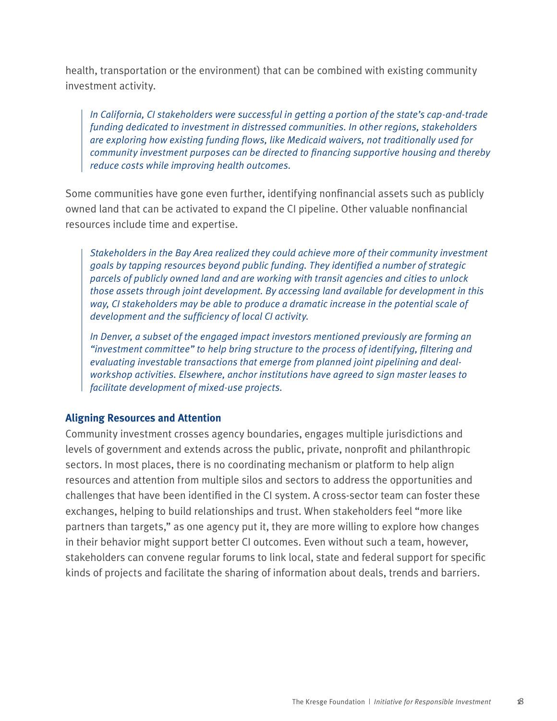health, transportation or the environment) that can be combined with existing community investment activity.

*In California, CI stakeholders were successful in getting a portion of the state's cap-and-trade funding dedicated to investment in distressed communities. In other regions, stakeholders are exploring how existing funding flows, like Medicaid waivers, not traditionally used for community investment purposes can be directed to financing supportive housing and thereby reduce costs while improving health outcomes.* 

Some communities have gone even further, identifying nonfinancial assets such as publicly owned land that can be activated to expand the CI pipeline. Other valuable nonfinancial resources include time and expertise.

*Stakeholders in the Bay Area realized they could achieve more of their community investment goals by tapping resources beyond public funding. They identified a number of strategic parcels of publicly owned land and are working with transit agencies and cities to unlock those assets through joint development. By accessing land available for development in this way, CI stakeholders may be able to produce a dramatic increase in the potential scale of development and the sufficiency of local CI activity.*

*In Denver, a subset of the engaged impact investors mentioned previously are forming an "investment committee" to help bring structure to the process of identifying, filtering and evaluating investable transactions that emerge from planned joint pipelining and dealworkshop activities. Elsewhere, anchor institutions have agreed to sign master leases to facilitate development of mixed-use projects.* 

## **Aligning Resources and Attention**

Community investment crosses agency boundaries, engages multiple jurisdictions and levels of government and extends across the public, private, nonprofit and philanthropic sectors. In most places, there is no coordinating mechanism or platform to help align resources and attention from multiple silos and sectors to address the opportunities and challenges that have been identified in the CI system. A cross-sector team can foster these exchanges, helping to build relationships and trust. When stakeholders feel "more like partners than targets," as one agency put it, they are more willing to explore how changes in their behavior might support better CI outcomes. Even without such a team, however, stakeholders can convene regular forums to link local, state and federal support for specific kinds of projects and facilitate the sharing of information about deals, trends and barriers.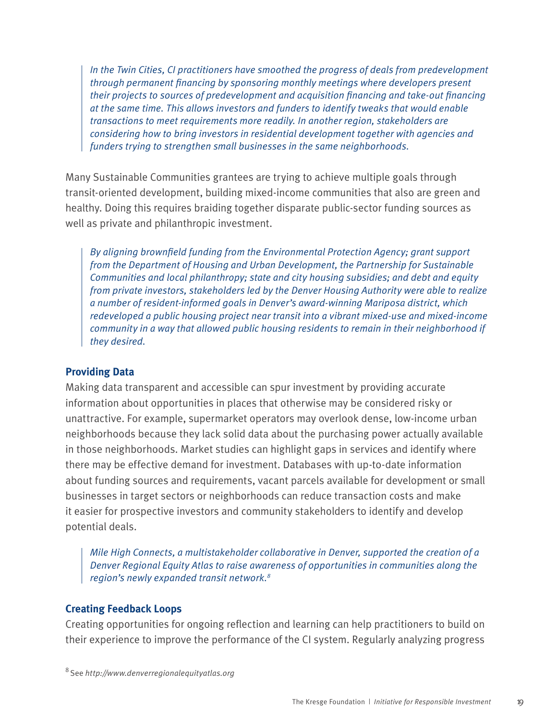*In the Twin Cities, CI practitioners have smoothed the progress of deals from predevelopment through permanent financing by sponsoring monthly meetings where developers present their projects to sources of predevelopment and acquisition financing and take-out financing at the same time. This allows investors and funders to identify tweaks that would enable transactions to meet requirements more readily. In another region, stakeholders are considering how to bring investors in residential development together with agencies and funders trying to strengthen small businesses in the same neighborhoods.*

Many Sustainable Communities grantees are trying to achieve multiple goals through transit-oriented development, building mixed-income communities that also are green and healthy. Doing this requires braiding together disparate public-sector funding sources as well as private and philanthropic investment.

*By aligning brownfield funding from the Environmental Protection Agency; grant support from the Department of Housing and Urban Development, the Partnership for Sustainable Communities and local philanthropy; state and city housing subsidies; and debt and equity from private investors, stakeholders led by the Denver Housing Authority were able to realize a number of resident-informed goals in Denver's award-winning Mariposa district, which redeveloped a public housing project near transit into a vibrant mixed-use and mixed-income community in a way that allowed public housing residents to remain in their neighborhood if they desired.* 

## **Providing Data**

Making data transparent and accessible can spur investment by providing accurate information about opportunities in places that otherwise may be considered risky or unattractive. For example, supermarket operators may overlook dense, low-income urban neighborhoods because they lack solid data about the purchasing power actually available in those neighborhoods. Market studies can highlight gaps in services and identify where there may be effective demand for investment. Databases with up-to-date information about funding sources and requirements, vacant parcels available for development or small businesses in target sectors or neighborhoods can reduce transaction costs and make it easier for prospective investors and community stakeholders to identify and develop potential deals.

*Mile High Connects, a multistakeholder collaborative in Denver, supported the creation of a Denver Regional Equity Atlas to raise awareness of opportunities in communities along the region's newly expanded transit network.8*

## **Creating Feedback Loops**

Creating opportunities for ongoing reflection and learning can help practitioners to build on their experience to improve the performance of the CI system. Regularly analyzing progress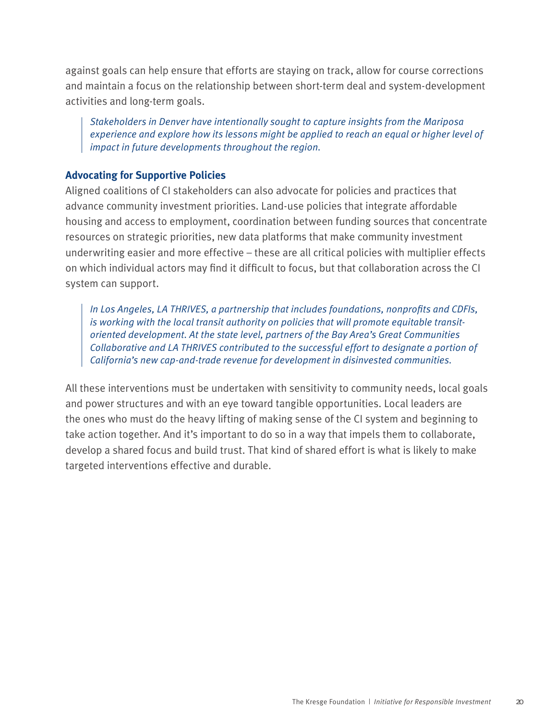against goals can help ensure that efforts are staying on track, allow for course corrections and maintain a focus on the relationship between short-term deal and system-development activities and long-term goals.

*Stakeholders in Denver have intentionally sought to capture insights from the Mariposa experience and explore how its lessons might be applied to reach an equal or higher level of impact in future developments throughout the region.* 

## **Advocating for Supportive Policies**

Aligned coalitions of CI stakeholders can also advocate for policies and practices that advance community investment priorities. Land-use policies that integrate affordable housing and access to employment, coordination between funding sources that concentrate resources on strategic priorities, new data platforms that make community investment underwriting easier and more effective – these are all critical policies with multiplier effects on which individual actors may find it difficult to focus, but that collaboration across the CI system can support.

*In Los Angeles, LA THRIVES, a partnership that includes foundations, nonprofits and CDFIs, is working with the local transit authority on policies that will promote equitable transitoriented development. At the state level, partners of the Bay Area's Great Communities Collaborative and LA THRIVES contributed to the successful effort to designate a portion of California's new cap-and-trade revenue for development in disinvested communities.*

All these interventions must be undertaken with sensitivity to community needs, local goals and power structures and with an eye toward tangible opportunities. Local leaders are the ones who must do the heavy lifting of making sense of the CI system and beginning to take action together. And it's important to do so in a way that impels them to collaborate, develop a shared focus and build trust. That kind of shared effort is what is likely to make targeted interventions effective and durable.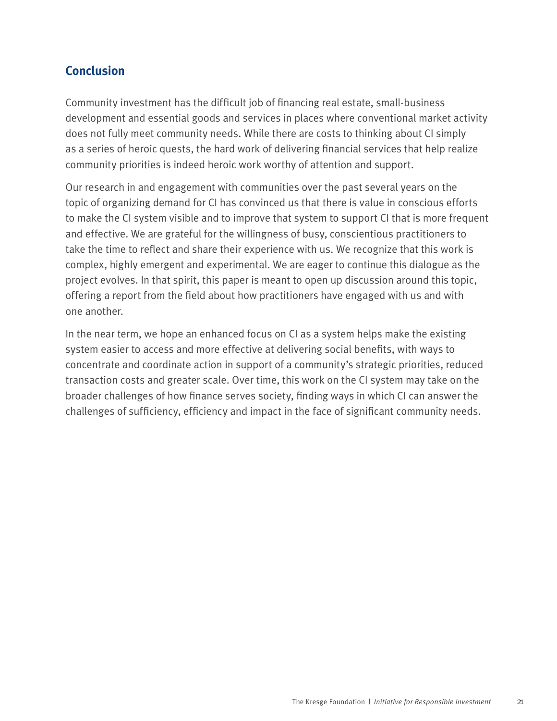# **Conclusion**

Community investment has the difficult job of financing real estate, small-business development and essential goods and services in places where conventional market activity does not fully meet community needs. While there are costs to thinking about CI simply as a series of heroic quests, the hard work of delivering financial services that help realize community priorities is indeed heroic work worthy of attention and support.

Our research in and engagement with communities over the past several years on the topic of organizing demand for CI has convinced us that there is value in conscious efforts to make the CI system visible and to improve that system to support CI that is more frequent and effective. We are grateful for the willingness of busy, conscientious practitioners to take the time to reflect and share their experience with us. We recognize that this work is complex, highly emergent and experimental. We are eager to continue this dialogue as the project evolves. In that spirit, this paper is meant to open up discussion around this topic, offering a report from the field about how practitioners have engaged with us and with one another.

In the near term, we hope an enhanced focus on CI as a system helps make the existing system easier to access and more effective at delivering social benefits, with ways to concentrate and coordinate action in support of a community's strategic priorities, reduced transaction costs and greater scale. Over time, this work on the CI system may take on the broader challenges of how finance serves society, finding ways in which CI can answer the challenges of sufficiency, efficiency and impact in the face of significant community needs.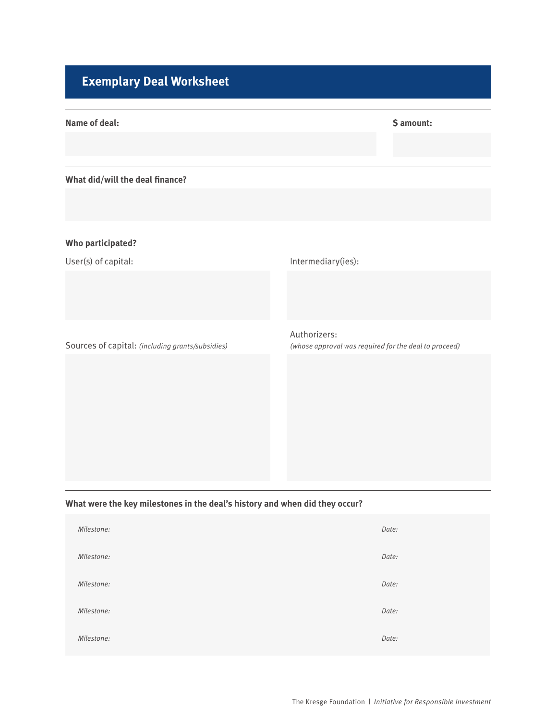# **Exemplary Deal Worksheet**

| <b>Name of deal:</b>                             | \$ amount:                                                            |
|--------------------------------------------------|-----------------------------------------------------------------------|
| What did/will the deal finance?                  |                                                                       |
| <b>Who participated?</b>                         |                                                                       |
| User(s) of capital:                              | Intermediary(ies):                                                    |
| Sources of capital: (including grants/subsidies) | Authorizers:<br>(whose approval was required for the deal to proceed) |

## **What were the key milestones in the deal's history and when did they occur?**

| Milestone: | Date: |
|------------|-------|
| Milestone: | Date: |
| Milestone: | Date: |
| Milestone: | Date: |
| Milestone: | Date: |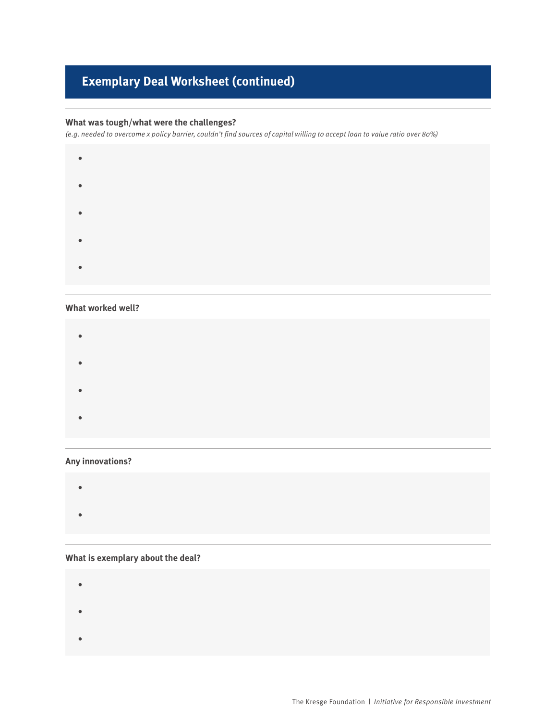# **Exemplary Deal Worksheet (continued)**

#### **What was tough/what were the challenges?**

*(e.g. needed to overcome x policy barrier, couldn't find sources of capital willing to accept loan to value ratio over 80%)*



#### **What worked well?**

• • • • 

#### **Any innovations?**

#### **What is exemplary about the deal?**

• • •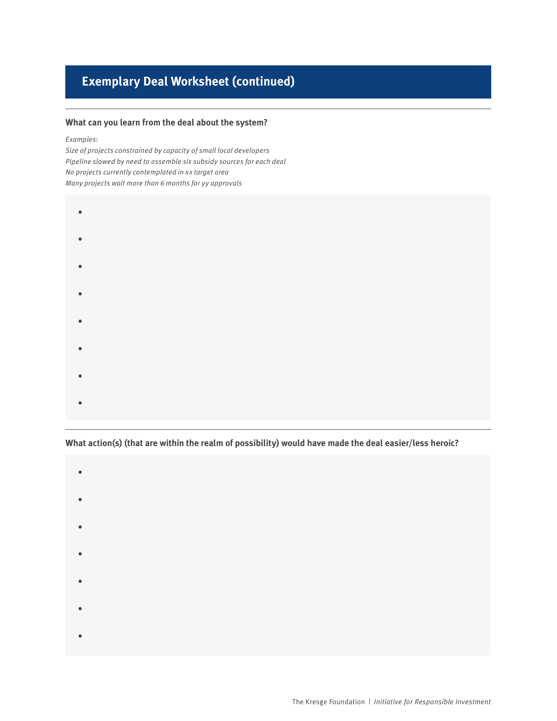# **Exemplary Deal Worksheet (continued)**

#### **What can you learn from the deal about the system?**

#### *Examples:*

*Size of projects constrained by capacity of small local developers Pipeline slowed by need to assemble six subsidy sources for each deal No projects currently contemplated in xx target area Many projects wait more than 6 months for yy approvals*

- •
- •
- •
- •
- •
- •
- •
- 
- •

**What action(s) (that are within the realm of possibility) would have made the deal easier/less heroic?**

- •
- •
- •
- •
- •
- •
- •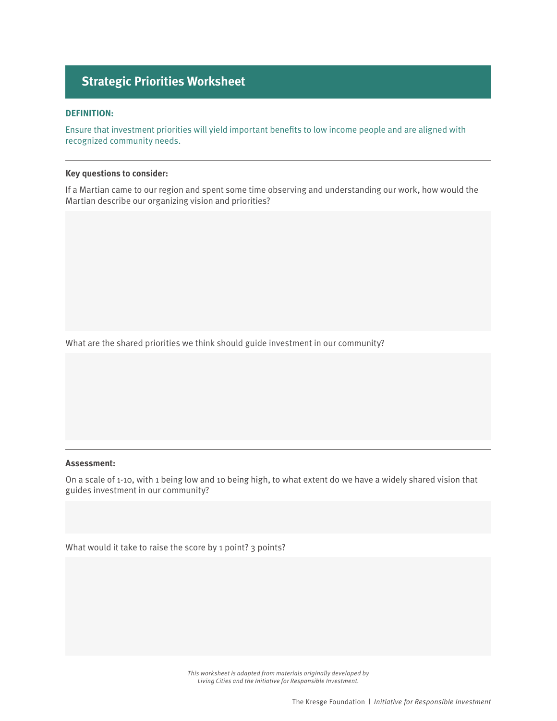# **Strategic Priorities Worksheet**

#### **DEFINITION:**

Ensure that investment priorities will yield important benefits to low income people and are aligned with recognized community needs.

#### **Key questions to consider:**

If a Martian came to our region and spent some time observing and understanding our work, how would the Martian describe our organizing vision and priorities?

What are the shared priorities we think should guide investment in our community?

#### **Assessment:**

On a scale of 1-10, with 1 being low and 10 being high, to what extent do we have a widely shared vision that guides investment in our community?

What would it take to raise the score by 1 point? 3 points?

*This worksheet is adapted from materials originally developed by Living Cities and the Initiative for Responsible Investment.*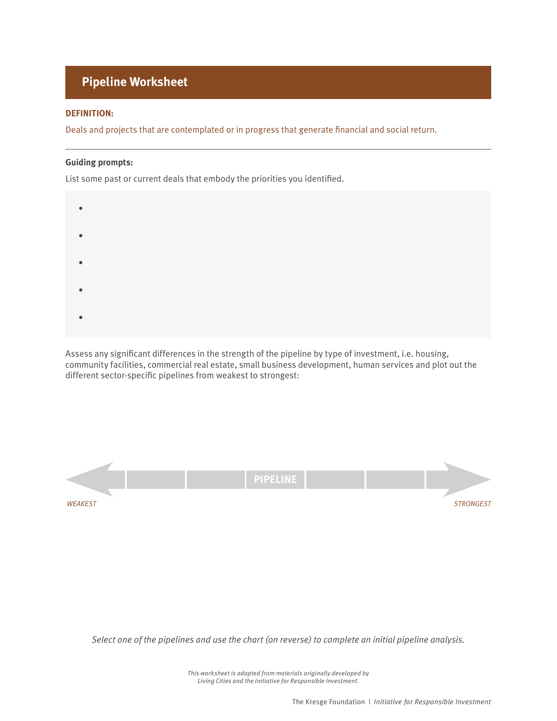# **Pipeline Worksheet**

#### **DEFINITION:**

Deals and projects that are contemplated or in progress that generate financial and social return.

#### **Guiding prompts:**

List some past or current deals that embody the priorities you identified.



Assess any significant differences in the strength of the pipeline by type of investment, i.e. housing, community facilities, commercial real estate, small business development, human services and plot out the different sector-specific pipelines from weakest to strongest:



*Select one of the pipelines and use the chart (on reverse) to complete an initial pipeline analysis.*

*This worksheet is adapted from materials originally developed by Living Cities and the Initiative for Responsible Investment.*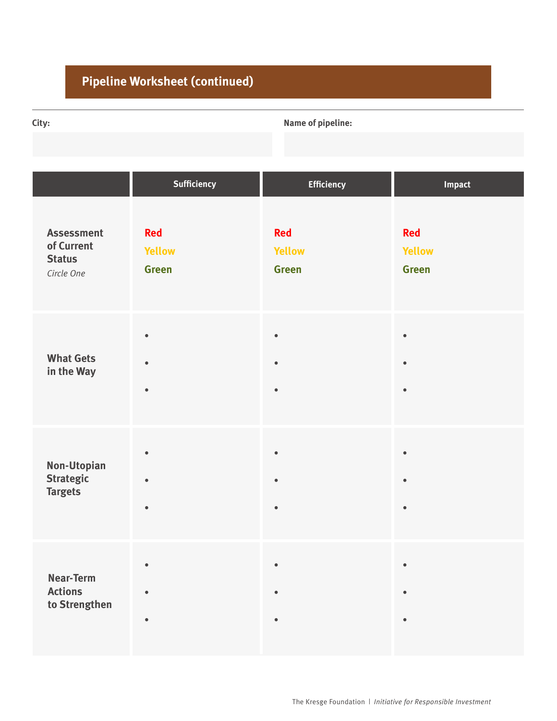# **Pipeline Worksheet (continued)**

**City: Name of pipeline:**

|                                                                | Sufficiency                                 | <b>Efficiency</b>                           | Impact                                      |
|----------------------------------------------------------------|---------------------------------------------|---------------------------------------------|---------------------------------------------|
| <b>Assessment</b><br>of Current<br><b>Status</b><br>Circle One | <b>Red</b><br><b>Yellow</b><br><b>Green</b> | <b>Red</b><br><b>Yellow</b><br><b>Green</b> | <b>Red</b><br><b>Yellow</b><br><b>Green</b> |
| <b>What Gets</b><br>in the Way                                 | $\bullet$<br>$\bullet$<br>$\bullet$         | $\bullet$<br>$\bullet$<br>$\bullet$         | $\bullet$<br>$\bullet$<br>$\bullet$         |
| Non-Utopian<br><b>Strategic</b><br><b>Targets</b>              | $\bullet$<br>$\bullet$<br>$\bullet$         | $\bullet$<br>$\bullet$                      | $\bullet$<br>$\bullet$<br>$\bullet$         |
| <b>Near-Term</b><br><b>Actions</b><br>to Strengthen            | $\bullet$<br>$\bullet$<br>$\bullet$         | $\bullet$<br>$\bullet$<br>$\bullet$         | $\bullet$<br>$\bullet$<br>$\bullet$         |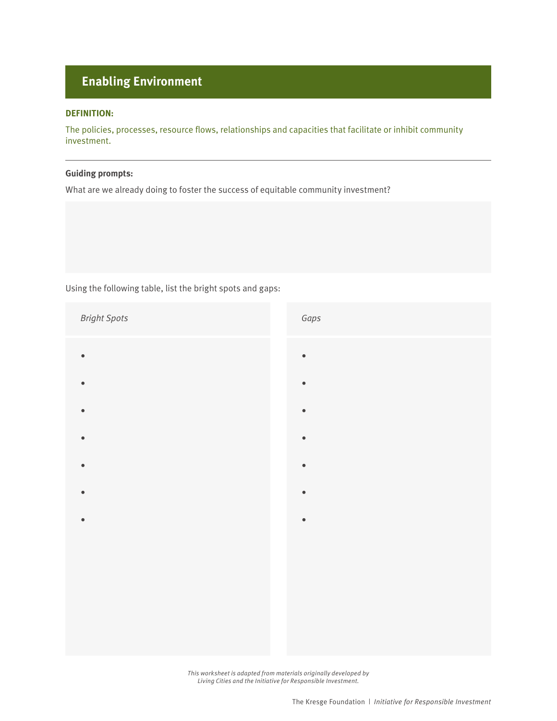# **Enabling Environment**

#### **DEFINITION:**

The policies, processes, resource flows, relationships and capacities that facilitate or inhibit community investment.

#### **Guiding prompts:**

What are we already doing to foster the success of equitable community investment?

Using the following table, list the bright spots and gaps:

*Bright Spots • • • • • • • Gaps • • • • • • •*

> *This worksheet is adapted from materials originally developed by Living Cities and the Initiative for Responsible Investment.*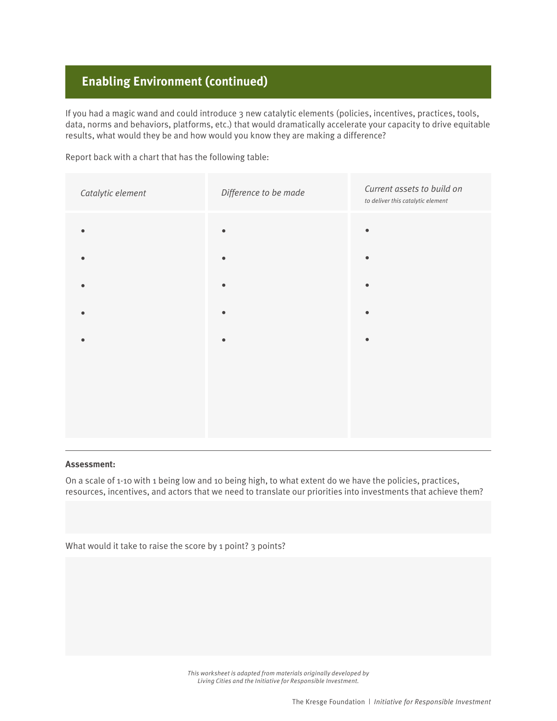# **Enabling Environment (continued)**

If you had a magic wand and could introduce 3 new catalytic elements (policies, incentives, practices, tools, data, norms and behaviors, platforms, etc.) that would dramatically accelerate your capacity to drive equitable results, what would they be and how would you know they are making a difference?

Report back with a chart that has the following table:

| Catalytic element       | Difference to be made | Current assets to build on<br>to deliver this catalytic element |
|-------------------------|-----------------------|-----------------------------------------------------------------|
| $\bullet$               |                       | $\bullet$                                                       |
| $\bullet$               |                       | $\bullet$                                                       |
| $\qquad \qquad \bullet$ |                       | $\bullet$                                                       |
| $\bullet$               |                       | $\bullet$                                                       |
| $\bullet$               |                       | $\bullet$                                                       |
|                         |                       |                                                                 |
|                         |                       |                                                                 |
|                         |                       |                                                                 |
|                         |                       |                                                                 |

#### **Assessment:**

On a scale of 1-10 with 1 being low and 10 being high, to what extent do we have the policies, practices, resources, incentives, and actors that we need to translate our priorities into investments that achieve them?

What would it take to raise the score by 1 point? 3 points?